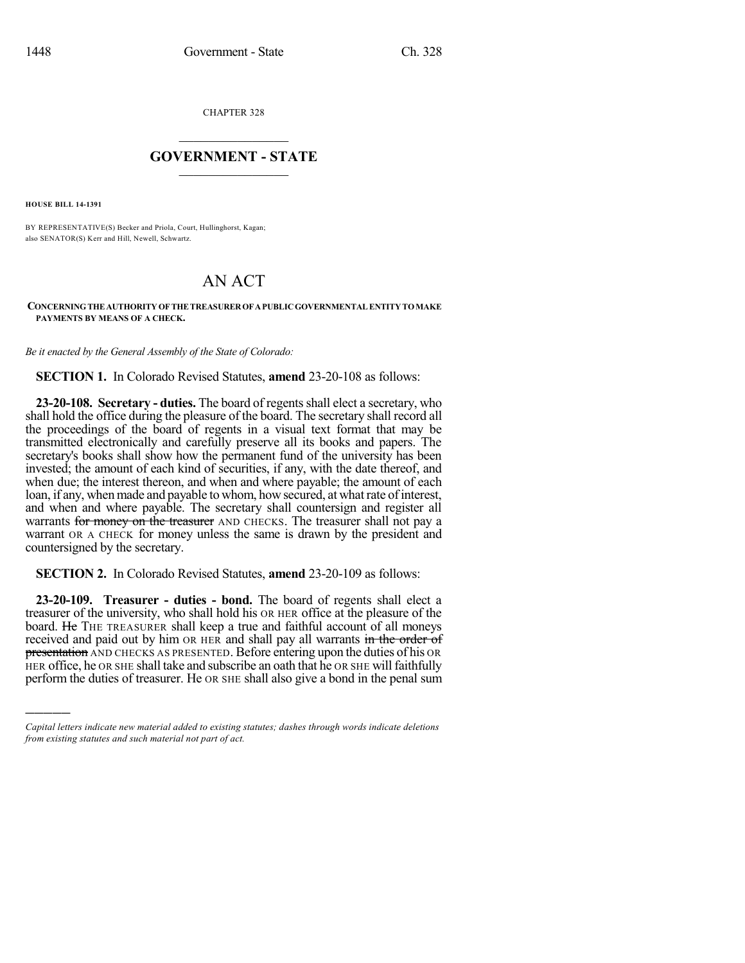CHAPTER 328

## $\overline{\phantom{a}}$  . The set of the set of the set of the set of the set of the set of the set of the set of the set of the set of the set of the set of the set of the set of the set of the set of the set of the set of the set o **GOVERNMENT - STATE**  $\_$

**HOUSE BILL 14-1391**

)))))

BY REPRESENTATIVE(S) Becker and Priola, Court, Hullinghorst, Kagan; also SENATOR(S) Kerr and Hill, Newell, Schwartz.

## AN ACT

## **CONCERNINGTHEAUTHORITYOFTHETREASUREROFAPUBLICGOVERNMENTALENTITYTOMAKE PAYMENTS BY MEANS OF A CHECK.**

*Be it enacted by the General Assembly of the State of Colorado:*

**SECTION 1.** In Colorado Revised Statutes, **amend** 23-20-108 as follows:

**23-20-108. Secretary - duties.** The board of regentsshall elect a secretary, who shall hold the office during the pleasure of the board. The secretary shall record all the proceedings of the board of regents in a visual text format that may be transmitted electronically and carefully preserve all its books and papers. The secretary's books shall show how the permanent fund of the university has been invested; the amount of each kind of securities, if any, with the date thereof, and when due; the interest thereon, and when and where payable; the amount of each loan, if any, when made and payable to whom, how secured, at what rate of interest, and when and where payable. The secretary shall countersign and register all warrants for money on the treasurer AND CHECKS. The treasurer shall not pay a warrant OR A CHECK for money unless the same is drawn by the president and countersigned by the secretary.

**SECTION 2.** In Colorado Revised Statutes, **amend** 23-20-109 as follows:

**23-20-109. Treasurer - duties - bond.** The board of regents shall elect a treasurer of the university, who shall hold his OR HER office at the pleasure of the board. He THE TREASURER shall keep a true and faithful account of all moneys received and paid out by him OR HER and shall pay all warrants in the order of **presentation** AND CHECKS AS PRESENTED. Before entering upon the duties of his OR HER office, he OR SHE shall take and subscribe an oath that he OR SHE will faithfully perform the duties of treasurer. He OR SHE shall also give a bond in the penal sum

*Capital letters indicate new material added to existing statutes; dashes through words indicate deletions from existing statutes and such material not part of act.*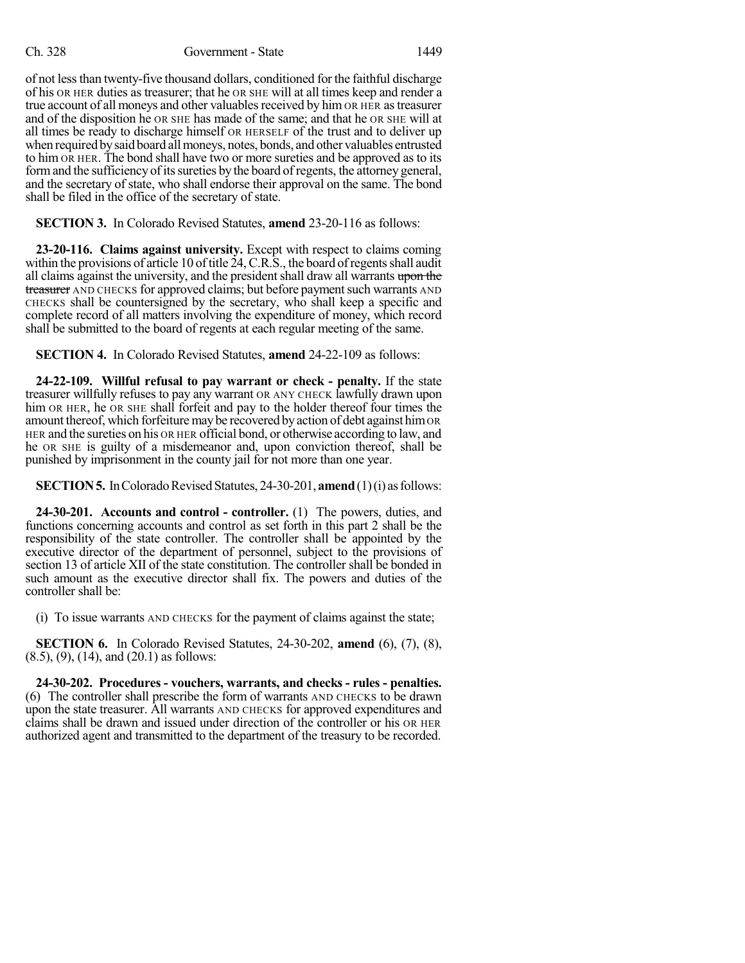## Ch. 328 Government - State 1449

of not lessthan twenty-five thousand dollars, conditioned for the faithful discharge of his OR HER duties as treasurer; that he OR SHE will at all times keep and render a true account of all moneys and other valuables received by him OR HER as treasurer and of the disposition he OR SHE has made of the same; and that he OR SHE will at all times be ready to discharge himself OR HERSELF of the trust and to deliver up when required by said board all moneys, notes, bonds, and other valuables entrusted to him OR HER. The bond shall have two or more sureties and be approved as to its form and the sufficiency of its sureties by the board of regents, the attorney general, and the secretary of state, who shall endorse their approval on the same. The bond shall be filed in the office of the secretary of state.

**SECTION 3.** In Colorado Revised Statutes, **amend** 23-20-116 as follows:

**23-20-116. Claims against university.** Except with respect to claims coming within the provisions of article 10 of title  $24$ , C.R.S., the board of regents shall audit all claims against the university, and the president shall draw all warrants upon the treasurer AND CHECKS for approved claims; but before payment such warrants AND CHECKS shall be countersigned by the secretary, who shall keep a specific and complete record of all matters involving the expenditure of money, which record shall be submitted to the board of regents at each regular meeting of the same.

**SECTION 4.** In Colorado Revised Statutes, **amend** 24-22-109 as follows:

**24-22-109. Willful refusal to pay warrant or check - penalty.** If the state treasurer willfully refuses to pay any warrant OR ANY CHECK lawfully drawn upon him OR HER, he OR SHE shall forfeit and pay to the holder thereof four times the amount thereof, which forfeiture may be recovered by action of debt against him OR HER and the sureties on his OR HER official bond, or otherwise according to law, and he OR SHE is guilty of a misdemeanor and, upon conviction thereof, shall be punished by imprisonment in the county jail for not more than one year.

**SECTION 5.** In Colorado Revised Statutes, 24-30-201, **amend** (1)(i) as follows:

**24-30-201. Accounts and control - controller.** (1) The powers, duties, and functions concerning accounts and control as set forth in this part 2 shall be the responsibility of the state controller. The controller shall be appointed by the executive director of the department of personnel, subject to the provisions of section 13 of article XII of the state constitution. The controller shall be bonded in such amount as the executive director shall fix. The powers and duties of the controller shall be:

(i) To issue warrants AND CHECKS for the payment of claims against the state;

**SECTION 6.** In Colorado Revised Statutes, 24-30-202, **amend** (6), (7), (8), (8.5), (9), (14), and (20.1) as follows:

**24-30-202. Procedures - vouchers, warrants, and checks - rules - penalties.** (6) The controller shall prescribe the form of warrants AND CHECKS to be drawn upon the state treasurer. All warrants AND CHECKS for approved expenditures and claims shall be drawn and issued under direction of the controller or his OR HER authorized agent and transmitted to the department of the treasury to be recorded.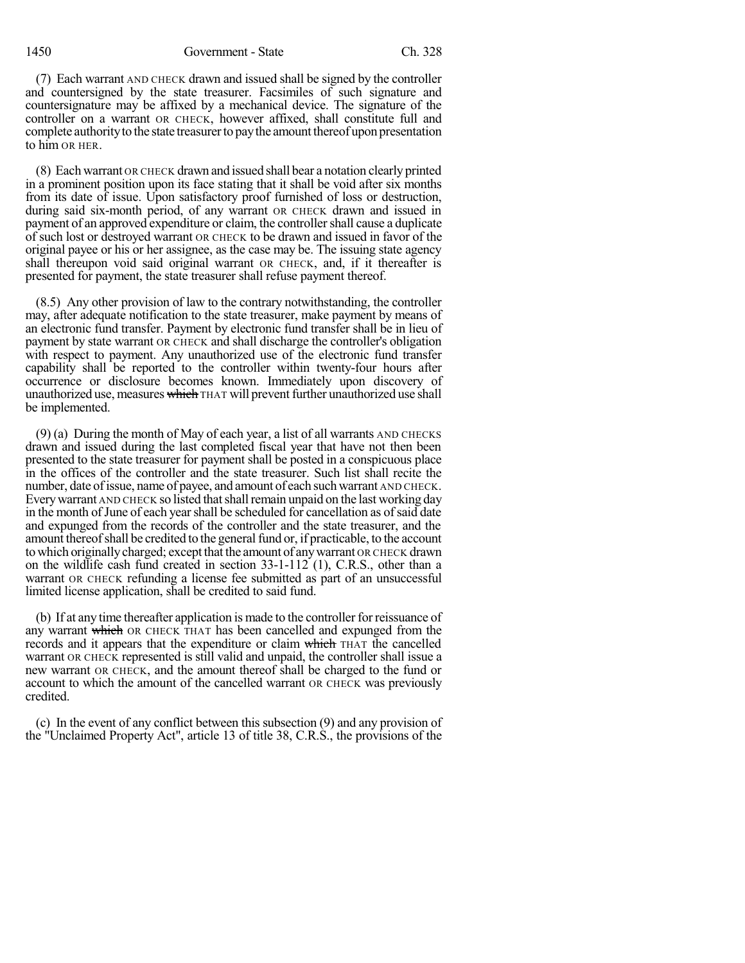1450 Government - State Ch. 328

(7) Each warrant AND CHECK drawn and issued shall be signed by the controller and countersigned by the state treasurer. Facsimiles of such signature and countersignature may be affixed by a mechanical device. The signature of the controller on a warrant OR CHECK, however affixed, shall constitute full and complete authority to the state treasurer to pay the amount thereof upon presentation to him OR HER.

(8) Each warrant OR CHECK drawn and issued shall bear a notation clearly printed in a prominent position upon its face stating that it shall be void after six months from its date of issue. Upon satisfactory proof furnished of loss or destruction, during said six-month period, of any warrant OR CHECK drawn and issued in payment of an approved expenditure or claim, the controllershall cause a duplicate of such lost or destroyed warrant OR CHECK to be drawn and issued in favor of the original payee or his or her assignee, as the case may be. The issuing state agency shall thereupon void said original warrant OR CHECK, and, if it thereafter is presented for payment, the state treasurer shall refuse payment thereof.

(8.5) Any other provision of law to the contrary notwithstanding, the controller may, after adequate notification to the state treasurer, make payment by means of an electronic fund transfer. Payment by electronic fund transfer shall be in lieu of payment by state warrant OR CHECK and shall discharge the controller's obligation with respect to payment. Any unauthorized use of the electronic fund transfer capability shall be reported to the controller within twenty-four hours after occurrence or disclosure becomes known. Immediately upon discovery of unauthorized use, measures which THAT will prevent further unauthorized use shall be implemented.

(9) (a) During the month of May of each year, a list of all warrants AND CHECKS drawn and issued during the last completed fiscal year that have not then been presented to the state treasurer for payment shall be posted in a conspicuous place in the offices of the controller and the state treasurer. Such list shall recite the number, date of issue, name of payee, and amount of each such warrant AND CHECK. Every warrant AND CHECK so listed that shall remain unpaid on the last working day in the month of June of each year shall be scheduled for cancellation as of said date and expunged from the records of the controller and the state treasurer, and the amount thereof shall be credited to the general fund or, if practicable, to the account to which originallycharged; except that the amount of anywarrant OR CHECK drawn on the wildlife cash fund created in section 33-1-112 (1), C.R.S., other than a warrant OR CHECK refunding a license fee submitted as part of an unsuccessful limited license application, shall be credited to said fund.

(b) If at any time thereafter application is made to the controller for reissuance of any warrant which OR CHECK THAT has been cancelled and expunged from the records and it appears that the expenditure or claim which THAT the cancelled warrant OR CHECK represented is still valid and unpaid, the controller shall issue a new warrant OR CHECK, and the amount thereof shall be charged to the fund or account to which the amount of the cancelled warrant OR CHECK was previously credited.

(c) In the event of any conflict between this subsection (9) and any provision of the "Unclaimed Property Act", article 13 of title 38, C.R.S., the provisions of the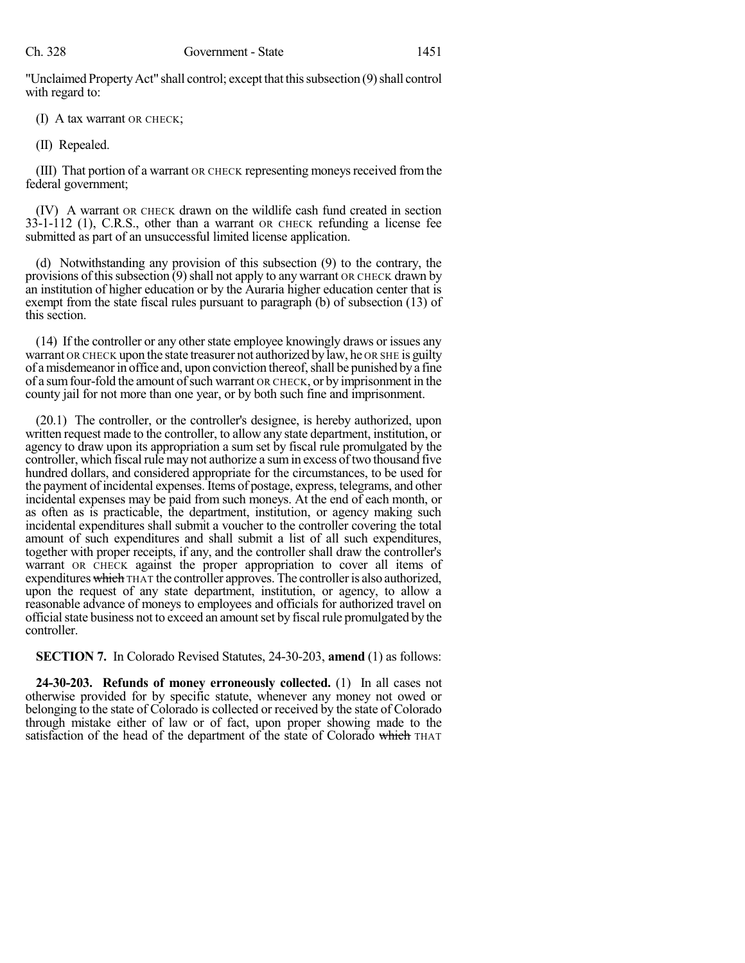"Unclaimed Property Act" shall control; except that this subsection (9) shall control with regard to:

(I) A tax warrant OR CHECK;

(II) Repealed.

(III) That portion of a warrant OR CHECK representing moneys received from the federal government;

(IV) A warrant OR CHECK drawn on the wildlife cash fund created in section 33-1-112 (1), C.R.S., other than a warrant OR CHECK refunding a license fee submitted as part of an unsuccessful limited license application.

(d) Notwithstanding any provision of this subsection (9) to the contrary, the provisions of this subsection  $(9)$  shall not apply to any warrant OR CHECK drawn by an institution of higher education or by the Auraria higher education center that is exempt from the state fiscal rules pursuant to paragraph (b) of subsection (13) of this section.

(14) If the controller or any other state employee knowingly draws or issues any warrant OR CHECK upon the state treasurer not authorized by law, he OR SHE is guilty of a misdemeanor in office and, upon conviction thereof, shall be punished by a fine of a sumfour-fold the amount ofsuch warrant OR CHECK, or by imprisonment in the county jail for not more than one year, or by both such fine and imprisonment.

(20.1) The controller, or the controller's designee, is hereby authorized, upon written request made to the controller, to allow any state department, institution, or agency to draw upon its appropriation a sum set by fiscal rule promulgated by the controller, which fiscal rule may not authorize a sum in excess of two thousand five hundred dollars, and considered appropriate for the circumstances, to be used for the payment of incidental expenses.Items of postage, express, telegrams, and other incidental expenses may be paid from such moneys. At the end of each month, or as often as is practicable, the department, institution, or agency making such incidental expenditures shall submit a voucher to the controller covering the total amount of such expenditures and shall submit a list of all such expenditures, together with proper receipts, if any, and the controller shall draw the controller's warrant OR CHECK against the proper appropriation to cover all items of expenditures which THAT the controller approves. The controller is also authorized, upon the request of any state department, institution, or agency, to allow a reasonable advance of moneys to employees and officials for authorized travel on officialstate business not to exceed an amountset by fiscal rule promulgated by the controller.

**SECTION 7.** In Colorado Revised Statutes, 24-30-203, **amend** (1) as follows:

**24-30-203. Refunds of money erroneously collected.** (1) In all cases not otherwise provided for by specific statute, whenever any money not owed or belonging to the state of Colorado is collected or received by the state of Colorado through mistake either of law or of fact, upon proper showing made to the satisfaction of the head of the department of the state of Colorado which THAT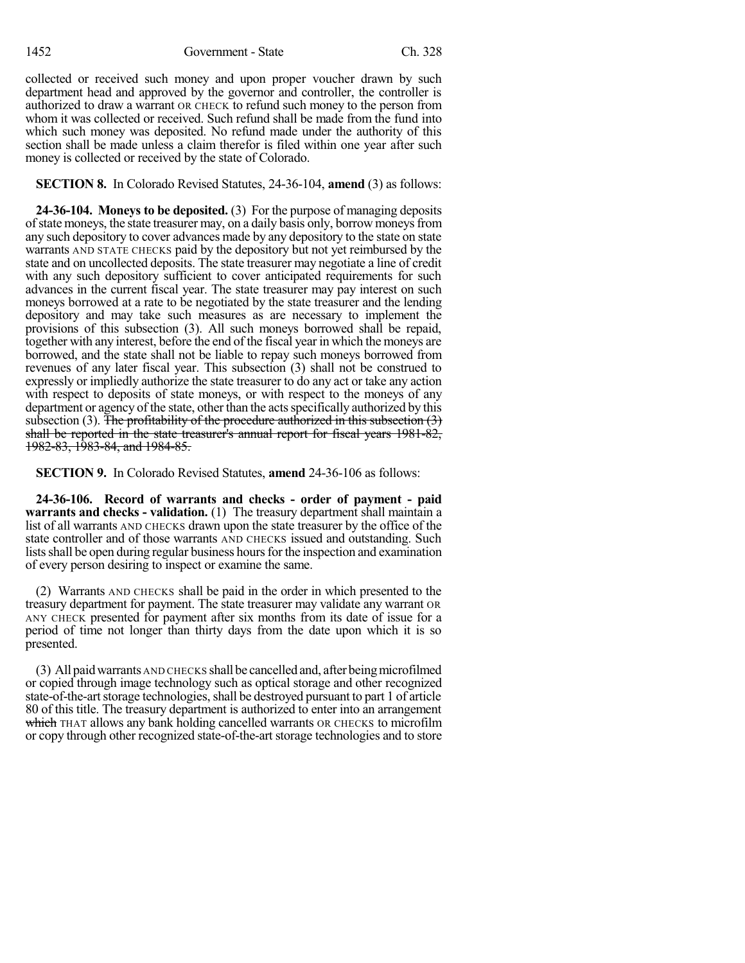1452 Government - State Ch. 328

collected or received such money and upon proper voucher drawn by such department head and approved by the governor and controller, the controller is authorized to draw a warrant OR CHECK to refund such money to the person from whom it was collected or received. Such refund shall be made from the fund into which such money was deposited. No refund made under the authority of this section shall be made unless a claim therefor is filed within one year after such money is collected or received by the state of Colorado.

**SECTION 8.** In Colorado Revised Statutes, 24-36-104, **amend** (3) as follows:

**24-36-104. Moneys to be deposited.** (3) For the purpose of managing deposits of state moneys, the state treasurer may, on a daily basis only, borrow moneys from any such depository to cover advances made by any depository to the state on state warrants AND STATE CHECKS paid by the depository but not yet reimbursed by the state and on uncollected deposits. The state treasurer may negotiate a line of credit with any such depository sufficient to cover anticipated requirements for such advances in the current fiscal year. The state treasurer may pay interest on such moneys borrowed at a rate to be negotiated by the state treasurer and the lending depository and may take such measures as are necessary to implement the provisions of this subsection (3). All such moneys borrowed shall be repaid, together with any interest, before the end of the fiscal year in which the moneys are borrowed, and the state shall not be liable to repay such moneys borrowed from revenues of any later fiscal year. This subsection (3) shall not be construed to expressly or impliedly authorize the state treasurer to do any act or take any action with respect to deposits of state moneys, or with respect to the moneys of any department or agency of the state, other than the acts specifically authorized by this subsection (3). The profitability of the procedure authorized in this subsection  $(3)$ shall be reported in the state treasurer's annual report for fiscal years 1981-82, 1982-83, 1983-84, and 1984-85.

**SECTION 9.** In Colorado Revised Statutes, **amend** 24-36-106 as follows:

**24-36-106. Record of warrants and checks - order of payment - paid warrants and checks - validation.** (1) The treasury department shall maintain a list of all warrants AND CHECKS drawn upon the state treasurer by the office of the state controller and of those warrants AND CHECKS issued and outstanding. Such lists shall be open during regular business hours for the inspection and examination of every person desiring to inspect or examine the same.

(2) Warrants AND CHECKS shall be paid in the order in which presented to the treasury department for payment. The state treasurer may validate any warrant OR ANY CHECK presented for payment after six months from its date of issue for a period of time not longer than thirty days from the date upon which it is so presented.

(3) All paidwarrants AND CHECKS shall be cancelled and, after beingmicrofilmed or copied through image technology such as optical storage and other recognized state-of-the-art storage technologies, shall be destroyed pursuant to part 1 of article 80 of this title. The treasury department is authorized to enter into an arrangement which THAT allows any bank holding cancelled warrants OR CHECKS to microfilm or copy through other recognized state-of-the-artstorage technologies and to store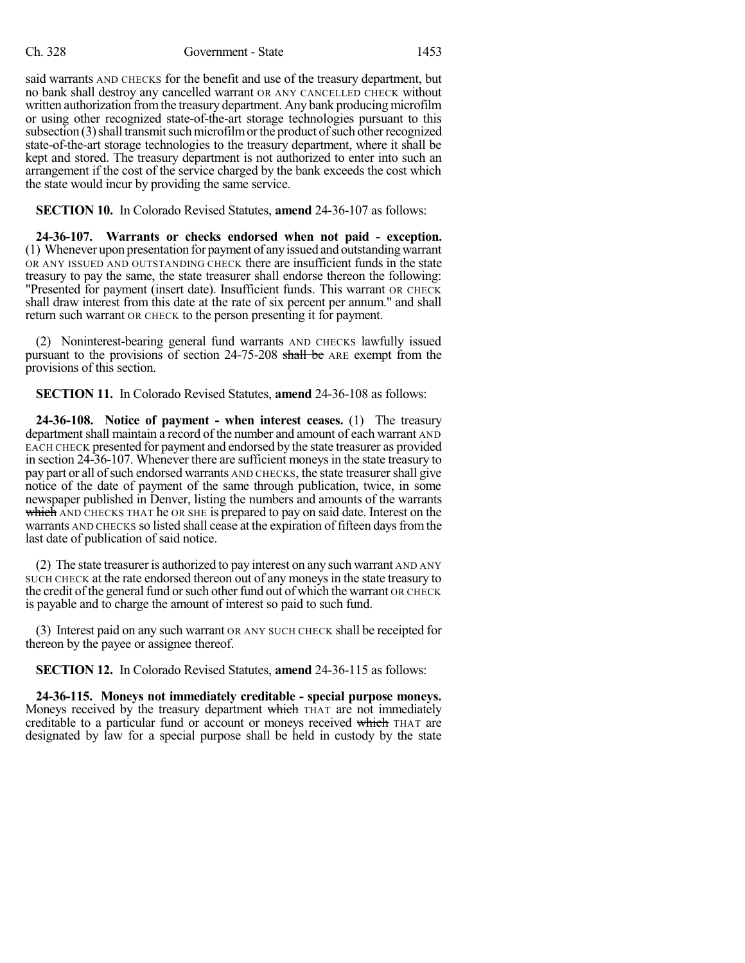said warrants AND CHECKS for the benefit and use of the treasury department, but no bank shall destroy any cancelled warrant OR ANY CANCELLED CHECK without written authorization from the treasury department. Any bank producing microfilm or using other recognized state-of-the-art storage technologies pursuant to this subsection  $(3)$  shall transmit such microfilm or the product of such other recognized state-of-the-art storage technologies to the treasury department, where it shall be kept and stored. The treasury department is not authorized to enter into such an arrangement if the cost of the service charged by the bank exceeds the cost which the state would incur by providing the same service.

**SECTION 10.** In Colorado Revised Statutes, **amend** 24-36-107 as follows:

**24-36-107. Warrants or checks endorsed when not paid - exception.** (1) Whenever upon presentation for payment of anyissued and outstandingwarrant OR ANY ISSUED AND OUTSTANDING CHECK there are insufficient funds in the state treasury to pay the same, the state treasurer shall endorse thereon the following: "Presented for payment (insert date). Insufficient funds. This warrant OR CHECK shall draw interest from this date at the rate of six percent per annum." and shall return such warrant OR CHECK to the person presenting it for payment.

(2) Noninterest-bearing general fund warrants AND CHECKS lawfully issued pursuant to the provisions of section 24-75-208 shall be ARE exempt from the provisions of this section.

**SECTION 11.** In Colorado Revised Statutes, **amend** 24-36-108 as follows:

**24-36-108. Notice of payment - when interest ceases.** (1) The treasury department shall maintain a record of the number and amount of each warrant AND EACH CHECK presented for payment and endorsed by the state treasurer as provided in section 24-36-107. Whenever there are sufficient moneys in the state treasury to pay part or all of such endorsed warrants AND CHECKS, the state treasurer shall give notice of the date of payment of the same through publication, twice, in some newspaper published in Denver, listing the numbers and amounts of the warrants which AND CHECKS THAT he OR SHE is prepared to pay on said date. Interest on the warrants AND CHECKS so listed shall cease at the expiration of fifteen days from the last date of publication of said notice.

(2) The state treasurer is authorized to pay interest on any such warrant AND ANY SUCH CHECK at the rate endorsed thereon out of any moneys in the state treasury to the credit of the general fund or such other fund out of which the warrant OR CHECK is payable and to charge the amount of interest so paid to such fund.

(3) Interest paid on any such warrant OR ANY SUCH CHECK shall be receipted for thereon by the payee or assignee thereof.

**SECTION 12.** In Colorado Revised Statutes, **amend** 24-36-115 as follows:

**24-36-115. Moneys not immediately creditable - special purpose moneys.** Moneys received by the treasury department which THAT are not immediately creditable to a particular fund or account or moneys received which THAT are designated by law for a special purpose shall be held in custody by the state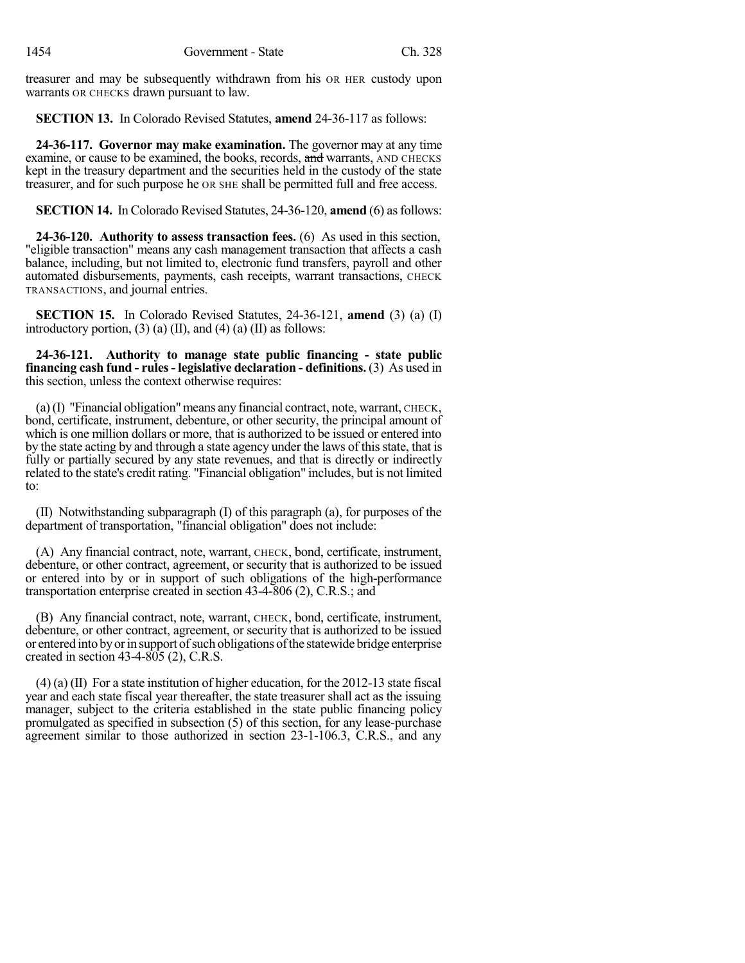treasurer and may be subsequently withdrawn from his OR HER custody upon warrants OR CHECKS drawn pursuant to law.

**SECTION 13.** In Colorado Revised Statutes, **amend** 24-36-117 as follows:

**24-36-117. Governor may make examination.** The governor may at any time examine, or cause to be examined, the books, records, and warrants, AND CHECKS kept in the treasury department and the securities held in the custody of the state treasurer, and for such purpose he OR SHE shall be permitted full and free access.

**SECTION 14.** In Colorado Revised Statutes, 24-36-120, **amend** (6) as follows:

**24-36-120. Authority to assess transaction fees.** (6) As used in this section, "eligible transaction" means any cash management transaction that affects a cash balance, including, but not limited to, electronic fund transfers, payroll and other automated disbursements, payments, cash receipts, warrant transactions, CHECK TRANSACTIONS, and journal entries.

**SECTION 15.** In Colorado Revised Statutes, 24-36-121, **amend** (3) (a) (I) introductory portion,  $(3)$  (a) (II), and  $(4)$  (a) (II) as follows:

**24-36-121. Authority to manage state public financing - state public financing cash fund - rules- legislative declaration - definitions.** (3) As used in this section, unless the context otherwise requires:

(a)(I) "Financial obligation"means any financial contract, note, warrant, CHECK, bond, certificate, instrument, debenture, or other security, the principal amount of which is one million dollars or more, that is authorized to be issued or entered into by the state acting by and through a state agency under the laws of this state, that is fully or partially secured by any state revenues, and that is directly or indirectly related to the state's credit rating. "Financial obligation" includes, but is not limited to:

(II) Notwithstanding subparagraph (I) of this paragraph (a), for purposes of the department of transportation, "financial obligation" does not include:

(A) Any financial contract, note, warrant, CHECK, bond, certificate, instrument, debenture, or other contract, agreement, or security that is authorized to be issued or entered into by or in support of such obligations of the high-performance transportation enterprise created in section 43-4-806 (2), C.R.S.; and

(B) Any financial contract, note, warrant, CHECK, bond, certificate, instrument, debenture, or other contract, agreement, or security that is authorized to be issued or entered into byorin support ofsuch obligations ofthe statewide bridge enterprise created in section 43-4-805 (2), C.R.S.

(4) (a) (II) For a state institution of higher education, for the 2012-13 state fiscal year and each state fiscal year thereafter, the state treasurer shall act as the issuing manager, subject to the criteria established in the state public financing policy promulgated as specified in subsection (5) of this section, for any lease-purchase agreement similar to those authorized in section 23-1-106.3, C.R.S., and any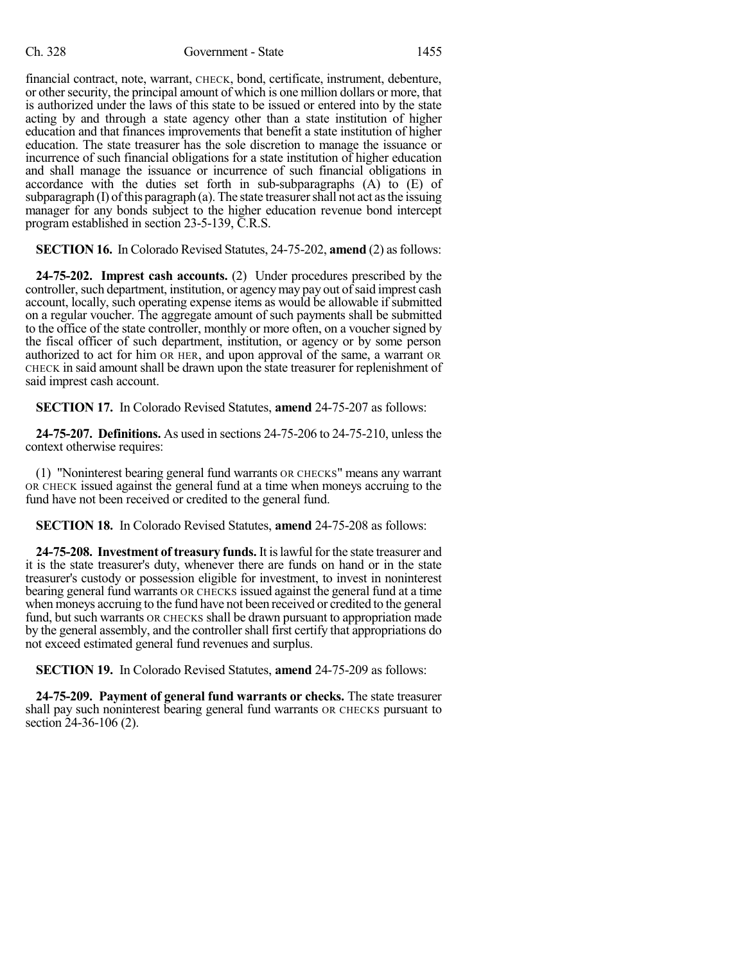financial contract, note, warrant, CHECK, bond, certificate, instrument, debenture, or other security, the principal amount of which is one million dollars or more, that is authorized under the laws of this state to be issued or entered into by the state acting by and through a state agency other than a state institution of higher education and that finances improvements that benefit a state institution of higher education. The state treasurer has the sole discretion to manage the issuance or incurrence of such financial obligations for a state institution of higher education and shall manage the issuance or incurrence of such financial obligations in accordance with the duties set forth in sub-subparagraphs (A) to (E) of subparagraph  $(I)$  of this paragraph  $(a)$ . The state treasurer shall not act as the issuing manager for any bonds subject to the higher education revenue bond intercept program established in section 23-5-139, C.R.S.

**SECTION 16.** In Colorado Revised Statutes, 24-75-202, **amend** (2) as follows:

**24-75-202. Imprest cash accounts.** (2) Under procedures prescribed by the controller, such department, institution, or agency may pay out of said imprest cash account, locally, such operating expense items as would be allowable if submitted on a regular voucher. The aggregate amount of such payments shall be submitted to the office of the state controller, monthly or more often, on a voucher signed by the fiscal officer of such department, institution, or agency or by some person authorized to act for him OR HER, and upon approval of the same, a warrant OR CHECK in said amount shall be drawn upon the state treasurer for replenishment of said imprest cash account.

**SECTION 17.** In Colorado Revised Statutes, **amend** 24-75-207 as follows:

**24-75-207. Definitions.** As used in sections 24-75-206 to 24-75-210, unlessthe context otherwise requires:

(1) "Noninterest bearing general fund warrants OR CHECKS" means any warrant OR CHECK issued against the general fund at a time when moneys accruing to the fund have not been received or credited to the general fund.

**SECTION 18.** In Colorado Revised Statutes, **amend** 24-75-208 as follows:

**24-75-208. Investment of treasury funds.** It islawfulfor the state treasurer and it is the state treasurer's duty, whenever there are funds on hand or in the state treasurer's custody or possession eligible for investment, to invest in noninterest bearing general fund warrants OR CHECKS issued against the general fund at a time when moneys accruing to the fund have not been received or credited to the general fund, but such warrants OR CHECKS shall be drawn pursuant to appropriation made by the general assembly, and the controller shall first certify that appropriations do not exceed estimated general fund revenues and surplus.

**SECTION 19.** In Colorado Revised Statutes, **amend** 24-75-209 as follows:

**24-75-209. Payment of general fund warrants or checks.** The state treasurer shall pay such noninterest bearing general fund warrants OR CHECKS pursuant to section 24-36-106 (2).